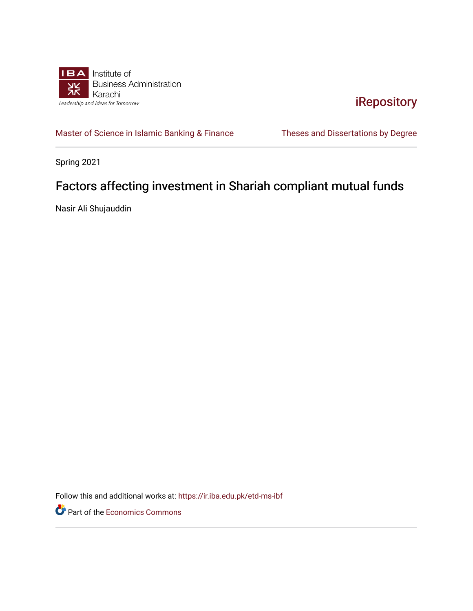

[iRepository](https://ir.iba.edu.pk/) 

[Master of Science in Islamic Banking & Finance](https://ir.iba.edu.pk/etd-ms-ibf) Theses and Dissertations by Degree

Spring 2021

### Factors affecting investment in Shariah compliant mutual funds

Nasir Ali Shujauddin

Follow this and additional works at: [https://ir.iba.edu.pk/etd-ms-ibf](https://ir.iba.edu.pk/etd-ms-ibf?utm_source=ir.iba.edu.pk%2Fetd-ms-ibf%2F15&utm_medium=PDF&utm_campaign=PDFCoverPages)

Part of the [Economics Commons](http://network.bepress.com/hgg/discipline/340?utm_source=ir.iba.edu.pk%2Fetd-ms-ibf%2F15&utm_medium=PDF&utm_campaign=PDFCoverPages)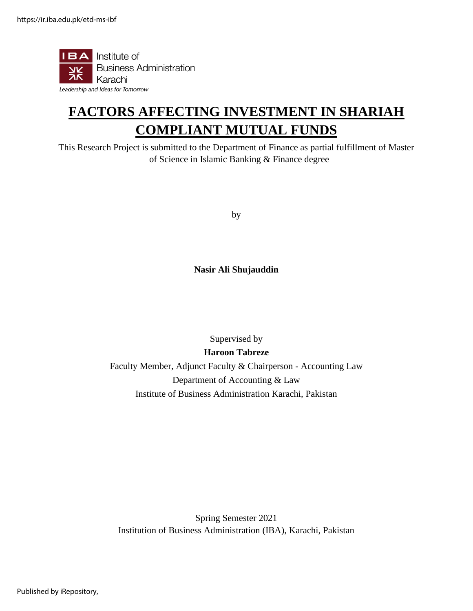

# **FACTORS AFFECTING INVESTMENT IN SHARIAH COMPLIANT MUTUAL FUNDS**

This Research Project is submitted to the Department of Finance as partial fulfillment of Master of Science in Islamic Banking & Finance degree

by

**Nasir Ali Shujauddin**

Supervised by

**Haroon Tabreze** 

Faculty Member, Adjunct Faculty & Chairperson - Accounting Law Department of Accounting & Law Institute of Business Administration Karachi, Pakistan

Spring Semester 2021 Institution of Business Administration (IBA), Karachi, Pakistan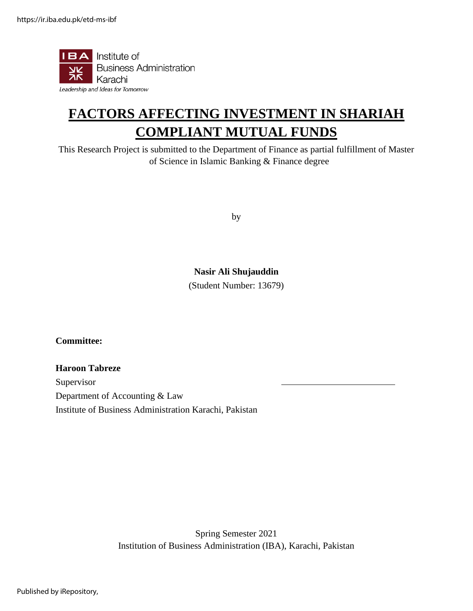

## **FACTORS AFFECTING INVESTMENT IN SHARIAH COMPLIANT MUTUAL FUNDS**

This Research Project is submitted to the Department of Finance as partial fulfillment of Master of Science in Islamic Banking & Finance degree

by

#### **Nasir Ali Shujauddin**

(Student Number: 13679)

**Committee:**

#### **Haroon Tabreze**

Supervisor Department of Accounting & Law Institute of Business Administration Karachi, Pakistan

> Spring Semester 2021 Institution of Business Administration (IBA), Karachi, Pakistan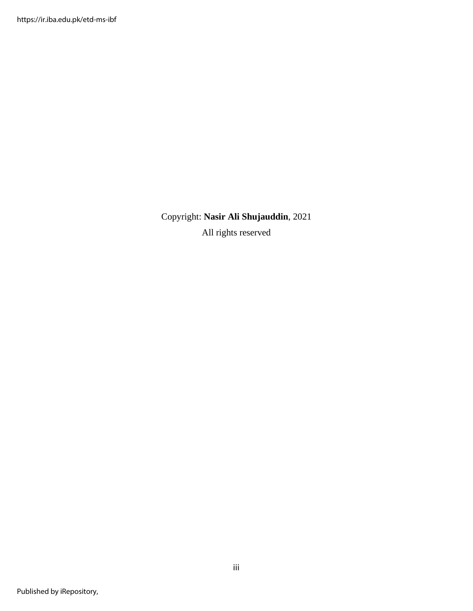Copyright: **Nasir Ali Shujauddin**, 2021 All rights reserved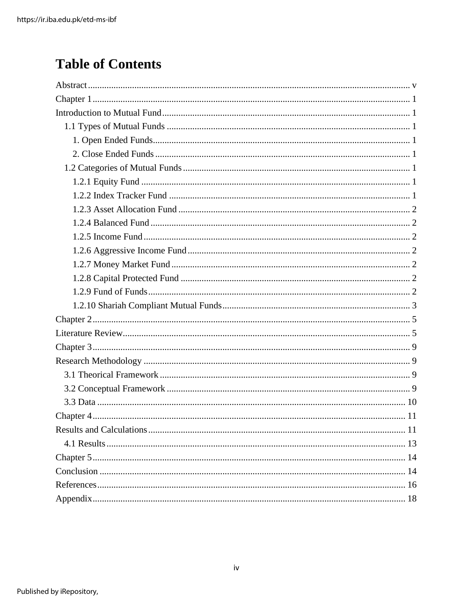### **Table of Contents**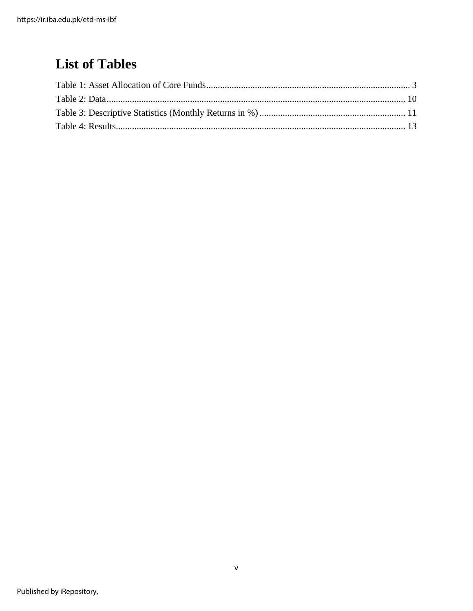### <span id="page-5-0"></span>**List of Tables**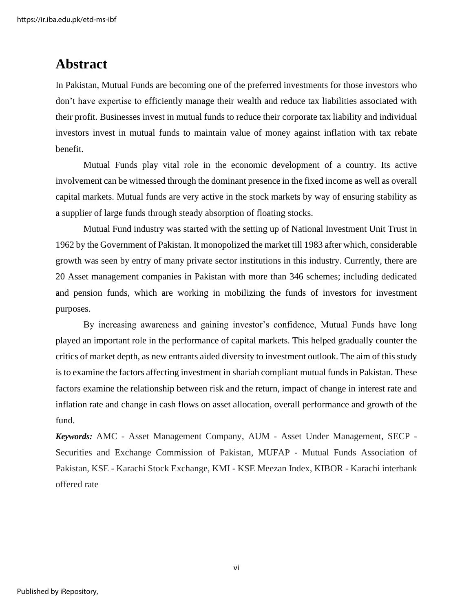https://ir.iba.edu.pk/etd-ms-ibf

### **Abstract**

In Pakistan, Mutual Funds are becoming one of the preferred investments for those investors who don't have expertise to efficiently manage their wealth and reduce tax liabilities associated with their profit. Businesses invest in mutual funds to reduce their corporate tax liability and individual investors invest in mutual funds to maintain value of money against inflation with tax rebate benefit.

Mutual Funds play vital role in the economic development of a country. Its active involvement can be witnessed through the dominant presence in the fixed income as well as overall capital markets. Mutual funds are very active in the stock markets by way of ensuring stability as a supplier of large funds through steady absorption of floating stocks.

Mutual Fund industry was started with the setting up of National Investment Unit Trust in 1962 by the Government of Pakistan. It monopolized the market till 1983 after which, considerable growth was seen by entry of many private sector institutions in this industry. Currently, there are 20 Asset management companies in Pakistan with more than 346 schemes; including dedicated and pension funds, which are working in mobilizing the funds of investors for investment purposes.

By increasing awareness and gaining investor's confidence, Mutual Funds have long played an important role in the performance of capital markets. This helped gradually counter the critics of market depth, as new entrants aided diversity to investment outlook. The aim of this study is to examine the factors affecting investment in shariah compliant mutual funds in Pakistan. These factors examine the relationship between risk and the return, impact of change in interest rate and inflation rate and change in cash flows on asset allocation, overall performance and growth of the fund.

*Keywords:* AMC - Asset Management Company, AUM - Asset Under Management, SECP - Securities and Exchange Commission of Pakistan, MUFAP - Mutual Funds Association of Pakistan, KSE - Karachi Stock Exchange, KMI - KSE Meezan Index, KIBOR - Karachi interbank offered rate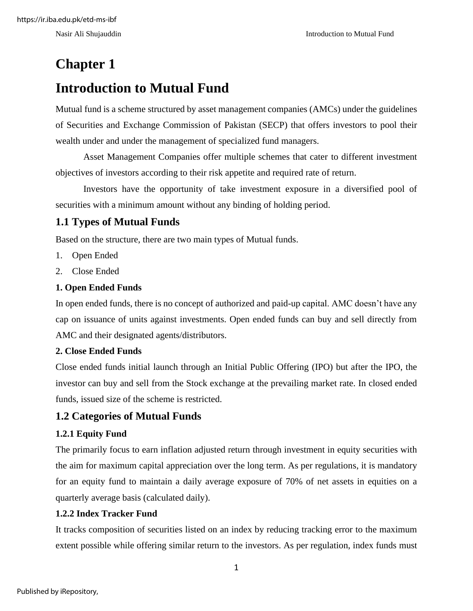## <span id="page-7-0"></span>**Chapter 1**

### <span id="page-7-1"></span>**Introduction to Mutual Fund**

Mutual fund is a scheme structured by asset management companies (AMCs) under the guidelines of Securities and Exchange Commission of Pakistan (SECP) that offers investors to pool their wealth under and under the management of specialized fund managers.

Asset Management Companies offer multiple schemes that cater to different investment objectives of investors according to their risk appetite and required rate of return.

Investors have the opportunity of take investment exposure in a diversified pool of securities with a minimum amount without any binding of holding period.

### <span id="page-7-2"></span>**1.1 Types of Mutual Funds**

Based on the structure, there are two main types of Mutual funds.

- 1. Open Ended
- 2. Close Ended

#### <span id="page-7-3"></span>**1. Open Ended Funds**

In open ended funds, there is no concept of authorized and paid-up capital. AMC doesn't have any cap on issuance of units against investments. Open ended funds can buy and sell directly from AMC and their designated agents/distributors.

#### <span id="page-7-4"></span>**2. Close Ended Funds**

Close ended funds initial launch through an Initial Public Offering (IPO) but after the IPO, the investor can buy and sell from the Stock exchange at the prevailing market rate. In closed ended funds, issued size of the scheme is restricted.

#### <span id="page-7-5"></span>**1.2 Categories of Mutual Funds**

#### <span id="page-7-6"></span>**1.2.1 Equity Fund**

The primarily focus to earn inflation adjusted return through investment in equity securities with the aim for maximum capital appreciation over the long term. As per regulations, it is mandatory for an equity fund to maintain a daily average exposure of 70% of net assets in equities on a quarterly average basis (calculated daily).

#### <span id="page-7-7"></span>**1.2.2 Index Tracker Fund**

It tracks composition of securities listed on an index by reducing tracking error to the maximum extent possible while offering similar return to the investors. As per regulation, index funds must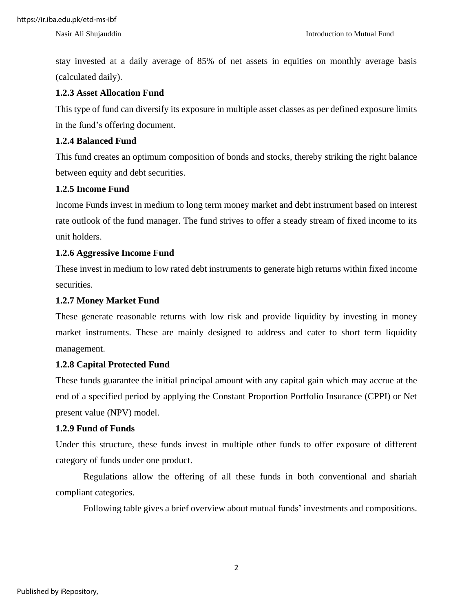stay invested at a daily average of 85% of net assets in equities on monthly average basis (calculated daily).

#### <span id="page-8-0"></span>**1.2.3 Asset Allocation Fund**

This type of fund can diversify its exposure in multiple asset classes as per defined exposure limits in the fund's offering document.

#### <span id="page-8-1"></span>**1.2.4 Balanced Fund**

This fund creates an optimum composition of bonds and stocks, thereby striking the right balance between equity and debt securities.

#### <span id="page-8-2"></span>**1.2.5 Income Fund**

Income Funds invest in medium to long term money market and debt instrument based on interest rate outlook of the fund manager. The fund strives to offer a steady stream of fixed income to its unit holders.

#### <span id="page-8-3"></span>**1.2.6 Aggressive Income Fund**

These invest in medium to low rated debt instruments to generate high returns within fixed income securities.

#### <span id="page-8-4"></span>**1.2.7 Money Market Fund**

These generate reasonable returns with low risk and provide liquidity by investing in money market instruments. These are mainly designed to address and cater to short term liquidity management.

#### <span id="page-8-5"></span>**1.2.8 Capital Protected Fund**

These funds guarantee the initial principal amount with any capital gain which may accrue at the end of a specified period by applying the Constant Proportion Portfolio Insurance (CPPI) or Net present value (NPV) model.

#### <span id="page-8-6"></span>**1.2.9 Fund of Funds**

Under this structure, these funds invest in multiple other funds to offer exposure of different category of funds under one product.

Regulations allow the offering of all these funds in both conventional and shariah compliant categories.

Following table gives a brief overview about mutual funds' investments and compositions.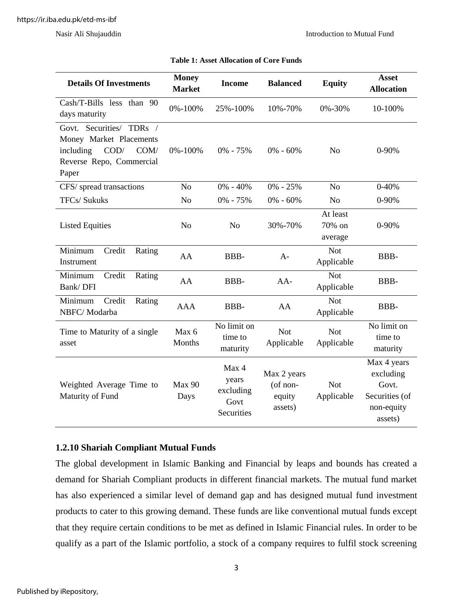<span id="page-9-1"></span>

| <b>Details Of Investments</b>                                                                                         | <b>Money</b><br><b>Market</b> | <b>Balanced</b><br><b>Income</b>                  |                                              | <b>Equity</b>                 | <b>Asset</b><br><b>Allocation</b>                                            |
|-----------------------------------------------------------------------------------------------------------------------|-------------------------------|---------------------------------------------------|----------------------------------------------|-------------------------------|------------------------------------------------------------------------------|
| Cash/T-Bills less than 90<br>days maturity                                                                            | 0%-100%                       | 25%-100%<br>10%-70%                               |                                              | $0\% - 30\%$                  | 10-100%                                                                      |
| Govt. Securities/ TDRs /<br>Money Market Placements<br>COD/<br>including<br>COM/<br>Reverse Repo, Commercial<br>Paper | 0%-100%                       | $0\% - 75\%$                                      | $0\% - 60\%$                                 | N <sub>o</sub>                | $0 - 90%$                                                                    |
| CFS/ spread transactions                                                                                              | N <sub>o</sub>                | $0\% - 40\%$                                      | $0\% - 25\%$                                 | N <sub>o</sub>                | $0 - 40%$                                                                    |
| <b>TFCs/Sukuks</b>                                                                                                    | N <sub>o</sub>                | 0% - 75%                                          | $0\% - 60\%$                                 | N <sub>o</sub>                | 0-90%                                                                        |
| <b>Listed Equities</b>                                                                                                | N <sub>o</sub>                | N <sub>o</sub>                                    | 30%-70%                                      | At least<br>70% on<br>average | $0 - 90%$                                                                    |
| Minimum<br>Credit<br>Rating<br>Instrument                                                                             | AA                            | BBB-                                              | $A-$                                         | <b>Not</b><br>Applicable      | BBB-                                                                         |
| Minimum<br>Credit<br>Rating<br>Bank/DFI                                                                               | AA                            | BBB-                                              | $AA-$                                        | <b>Not</b><br>Applicable      | BBB-                                                                         |
| Minimum<br>Credit<br>Rating<br>NBFC/Modarba                                                                           | <b>AAA</b>                    | BBB-                                              | AA                                           | <b>Not</b><br>Applicable      | BBB-                                                                         |
| Time to Maturity of a single<br>asset                                                                                 | Max 6<br>Months               | No limit on<br>time to<br>maturity                | <b>Not</b><br>Applicable                     | <b>Not</b><br>Applicable      | No limit on<br>time to<br>maturity                                           |
| Weighted Average Time to<br>Maturity of Fund                                                                          | Max 90<br>Days                | Max 4<br>years<br>excluding<br>Govt<br>Securities | Max 2 years<br>(of non-<br>equity<br>assets) | <b>Not</b><br>Applicable      | Max 4 years<br>excluding<br>Govt.<br>Securities (of<br>non-equity<br>assets) |

| <b>Table 1: Asset Allocation of Core Funds</b> |
|------------------------------------------------|
|------------------------------------------------|

#### <span id="page-9-0"></span>**1.2.10 Shariah Compliant Mutual Funds**

The global development in Islamic Banking and Financial by leaps and bounds has created a demand for Shariah Compliant products in different financial markets. The mutual fund market has also experienced a similar level of demand gap and has designed mutual fund investment products to cater to this growing demand. These funds are like conventional mutual funds except that they require certain conditions to be met as defined in Islamic Financial rules. In order to be qualify as a part of the Islamic portfolio, a stock of a company requires to fulfil stock screening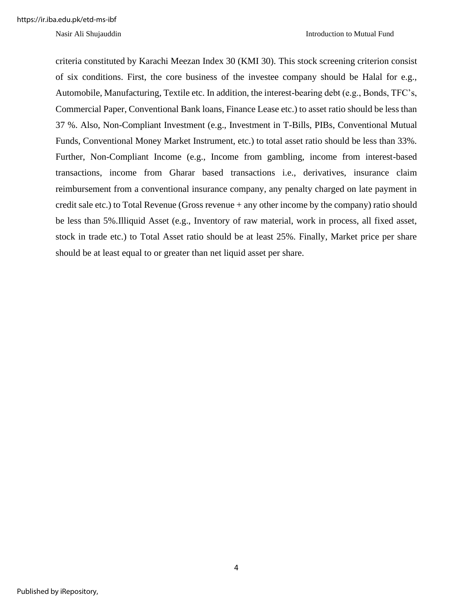criteria constituted by Karachi Meezan Index 30 (KMI 30). This stock screening criterion consist of six conditions. First, the core business of the investee company should be Halal for e.g., Automobile, Manufacturing, Textile etc. In addition, the interest-bearing debt (e.g., Bonds, TFC's, Commercial Paper, Conventional Bank loans, Finance Lease etc.) to asset ratio should be less than 37 %. Also, Non-Compliant Investment (e.g., Investment in T-Bills, PIBs, Conventional Mutual Funds, Conventional Money Market Instrument, etc.) to total asset ratio should be less than 33%. Further, Non-Compliant Income (e.g., Income from gambling, income from interest-based transactions, income from Gharar based transactions i.e., derivatives, insurance claim reimbursement from a conventional insurance company, any penalty charged on late payment in credit sale etc.) to Total Revenue (Gross revenue + any other income by the company) ratio should be less than 5%.Illiquid Asset (e.g., Inventory of raw material, work in process, all fixed asset, stock in trade etc.) to Total Asset ratio should be at least 25%. Finally, Market price per share should be at least equal to or greater than net liquid asset per share.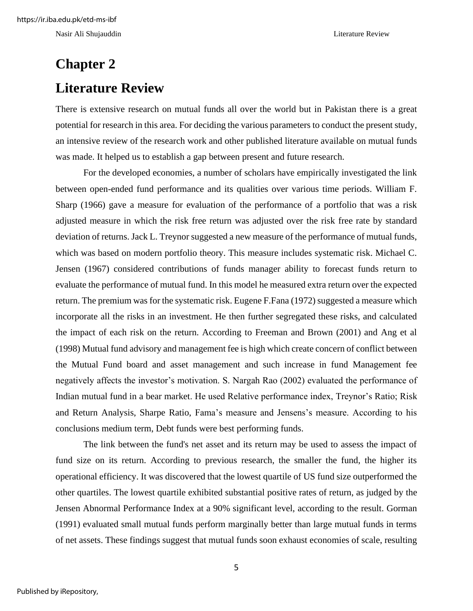Nasir Ali Shujauddin Literature Review

# <span id="page-11-1"></span><span id="page-11-0"></span>**Chapter 2 Literature Review**

There is extensive research on mutual funds all over the world but in Pakistan there is a great potential for research in this area. For deciding the various parameters to conduct the present study, an intensive review of the research work and other published literature available on mutual funds was made. It helped us to establish a gap between present and future research.

For the developed economies, a number of scholars have empirically investigated the link between open-ended fund performance and its qualities over various time periods. William F. Sharp (1966) gave a measure for evaluation of the performance of a portfolio that was a risk adjusted measure in which the risk free return was adjusted over the risk free rate by standard deviation of returns. Jack L. Treynor suggested a new measure of the performance of mutual funds, which was based on modern portfolio theory. This measure includes systematic risk. Michael C. Jensen (1967) considered contributions of funds manager ability to forecast funds return to evaluate the performance of mutual fund. In this model he measured extra return over the expected return. The premium was for the systematic risk. Eugene F.Fana (1972) suggested a measure which incorporate all the risks in an investment. He then further segregated these risks, and calculated the impact of each risk on the return. According to Freeman and Brown (2001) and Ang et al (1998) Mutual fund advisory and management fee is high which create concern of conflict between the Mutual Fund board and asset management and such increase in fund Management fee negatively affects the investor's motivation. S. Nargah Rao (2002) evaluated the performance of Indian mutual fund in a bear market. He used Relative performance index, Treynor's Ratio; Risk and Return Analysis, Sharpe Ratio, Fama's measure and Jensens's measure. According to his conclusions medium term, Debt funds were best performing funds.

The link between the fund's net asset and its return may be used to assess the impact of fund size on its return. According to previous research, the smaller the fund, the higher its operational efficiency. It was discovered that the lowest quartile of US fund size outperformed the other quartiles. The lowest quartile exhibited substantial positive rates of return, as judged by the Jensen Abnormal Performance Index at a 90% significant level, according to the result. Gorman (1991) evaluated small mutual funds perform marginally better than large mutual funds in terms of net assets. These findings suggest that mutual funds soon exhaust economies of scale, resulting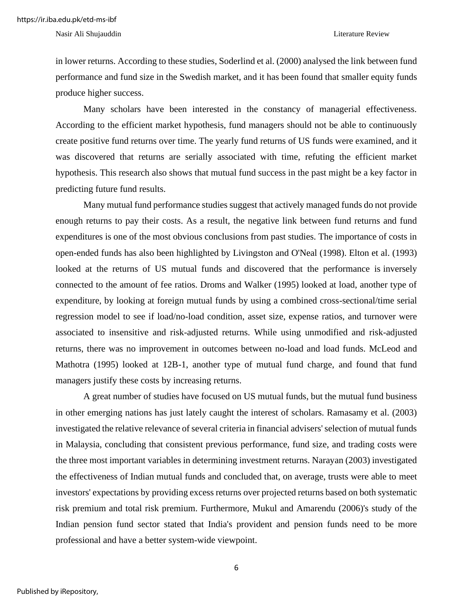Nasir Ali Shujauddin Literature Review

in lower returns. According to these studies, Soderlind et al. (2000) analysed the link between fund performance and fund size in the Swedish market, and it has been found that smaller equity funds produce higher success.

Many scholars have been interested in the constancy of managerial effectiveness. According to the efficient market hypothesis, fund managers should not be able to continuously create positive fund returns over time. The yearly fund returns of US funds were examined, and it was discovered that returns are serially associated with time, refuting the efficient market hypothesis. This research also shows that mutual fund success in the past might be a key factor in predicting future fund results.

Many mutual fund performance studies suggest that actively managed funds do not provide enough returns to pay their costs. As a result, the negative link between fund returns and fund expenditures is one of the most obvious conclusions from past studies. The importance of costs in open-ended funds has also been highlighted by Livingston and O'Neal (1998). Elton et al. (1993) looked at the returns of US mutual funds and discovered that the performance is inversely connected to the amount of fee ratios. Droms and Walker (1995) looked at load, another type of expenditure, by looking at foreign mutual funds by using a combined cross-sectional/time serial regression model to see if load/no-load condition, asset size, expense ratios, and turnover were associated to insensitive and risk-adjusted returns. While using unmodified and risk-adjusted returns, there was no improvement in outcomes between no-load and load funds. McLeod and Mathotra (1995) looked at 12B-1, another type of mutual fund charge, and found that fund managers justify these costs by increasing returns.

A great number of studies have focused on US mutual funds, but the mutual fund business in other emerging nations has just lately caught the interest of scholars. Ramasamy et al. (2003) investigated the relative relevance of several criteria in financial advisers' selection of mutual funds in Malaysia, concluding that consistent previous performance, fund size, and trading costs were the three most important variables in determining investment returns. Narayan (2003) investigated the effectiveness of Indian mutual funds and concluded that, on average, trusts were able to meet investors' expectations by providing excess returns over projected returns based on both systematic risk premium and total risk premium. Furthermore, Mukul and Amarendu (2006)'s study of the Indian pension fund sector stated that India's provident and pension funds need to be more professional and have a better system-wide viewpoint.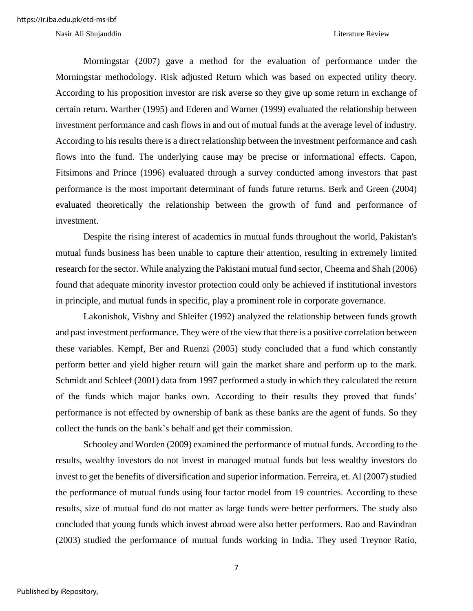Morningstar (2007) gave a method for the evaluation of performance under the Morningstar methodology. Risk adjusted Return which was based on expected utility theory. According to his proposition investor are risk averse so they give up some return in exchange of certain return. Warther (1995) and Ederen and Warner (1999) evaluated the relationship between investment performance and cash flows in and out of mutual funds at the average level of industry. According to his results there is a direct relationship between the investment performance and cash flows into the fund. The underlying cause may be precise or informational effects. Capon, Fitsimons and Prince (1996) evaluated through a survey conducted among investors that past performance is the most important determinant of funds future returns. Berk and Green (2004) evaluated theoretically the relationship between the growth of fund and performance of investment.

Despite the rising interest of academics in mutual funds throughout the world, Pakistan's mutual funds business has been unable to capture their attention, resulting in extremely limited research for the sector. While analyzing the Pakistani mutual fund sector, Cheema and Shah (2006) found that adequate minority investor protection could only be achieved if institutional investors in principle, and mutual funds in specific, play a prominent role in corporate governance.

Lakonishok, Vishny and Shleifer (1992) analyzed the relationship between funds growth and past investment performance. They were of the view that there is a positive correlation between these variables. Kempf, Ber and Ruenzi (2005) study concluded that a fund which constantly perform better and yield higher return will gain the market share and perform up to the mark. Schmidt and Schleef (2001) data from 1997 performed a study in which they calculated the return of the funds which major banks own. According to their results they proved that funds' performance is not effected by ownership of bank as these banks are the agent of funds. So they collect the funds on the bank's behalf and get their commission.

Schooley and Worden (2009) examined the performance of mutual funds. According to the results, wealthy investors do not invest in managed mutual funds but less wealthy investors do invest to get the benefits of diversification and superior information. Ferreira, et. Al (2007) studied the performance of mutual funds using four factor model from 19 countries. According to these results, size of mutual fund do not matter as large funds were better performers. The study also concluded that young funds which invest abroad were also better performers. Rao and Ravindran (2003) studied the performance of mutual funds working in India. They used Treynor Ratio,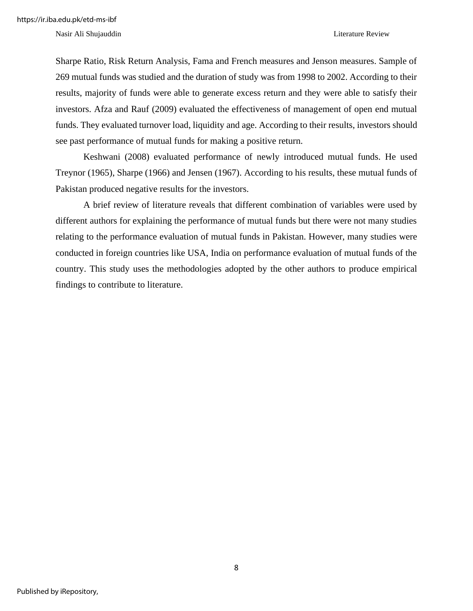Nasir Ali Shujauddin Literature Review

Sharpe Ratio, Risk Return Analysis, Fama and French measures and Jenson measures. Sample of 269 mutual funds was studied and the duration of study was from 1998 to 2002. According to their results, majority of funds were able to generate excess return and they were able to satisfy their investors. Afza and Rauf (2009) evaluated the effectiveness of management of open end mutual funds. They evaluated turnover load, liquidity and age. According to their results, investors should see past performance of mutual funds for making a positive return.

Keshwani (2008) evaluated performance of newly introduced mutual funds. He used Treynor (1965), Sharpe (1966) and Jensen (1967). According to his results, these mutual funds of Pakistan produced negative results for the investors.

A brief review of literature reveals that different combination of variables were used by different authors for explaining the performance of mutual funds but there were not many studies relating to the performance evaluation of mutual funds in Pakistan. However, many studies were conducted in foreign countries like USA, India on performance evaluation of mutual funds of the country. This study uses the methodologies adopted by the other authors to produce empirical findings to contribute to literature.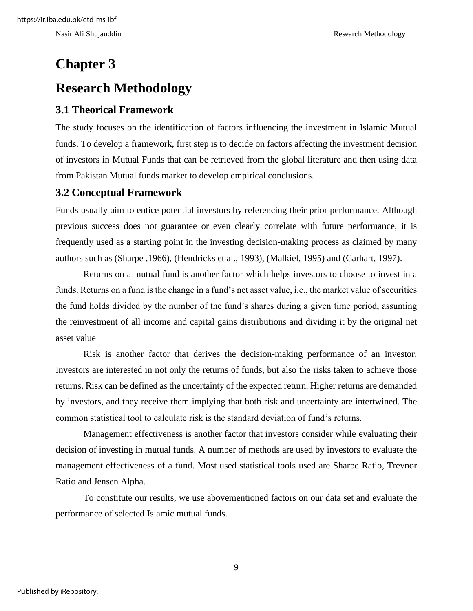# <span id="page-15-1"></span><span id="page-15-0"></span>**Chapter 3 Research Methodology**

### <span id="page-15-2"></span>**3.1 Theorical Framework**

The study focuses on the identification of factors influencing the investment in Islamic Mutual funds. To develop a framework, first step is to decide on factors affecting the investment decision of investors in Mutual Funds that can be retrieved from the global literature and then using data from Pakistan Mutual funds market to develop empirical conclusions.

### <span id="page-15-3"></span>**3.2 Conceptual Framework**

Funds usually aim to entice potential investors by referencing their prior performance. Although previous success does not guarantee or even clearly correlate with future performance, it is frequently used as a starting point in the investing decision-making process as claimed by many authors such as (Sharpe ,1966), (Hendricks et al., 1993), (Malkiel, 1995) and (Carhart, 1997).

Returns on a mutual fund is another factor which helps investors to choose to invest in a funds. Returns on a fund is the change in a fund's net asset value, i.e., the market value of securities the fund holds divided by the number of the fund's shares during a given time period, assuming the reinvestment of all income and capital gains distributions and dividing it by the original net asset value

Risk is another factor that derives the decision-making performance of an investor. Investors are interested in not only the returns of funds, but also the risks taken to achieve those returns. Risk can be defined as the uncertainty of the expected return. Higher returns are demanded by investors, and they receive them implying that both risk and uncertainty are intertwined. The common statistical tool to calculate risk is the standard deviation of fund's returns.

Management effectiveness is another factor that investors consider while evaluating their decision of investing in mutual funds. A number of methods are used by investors to evaluate the management effectiveness of a fund. Most used statistical tools used are Sharpe Ratio, Treynor Ratio and Jensen Alpha.

To constitute our results, we use abovementioned factors on our data set and evaluate the performance of selected Islamic mutual funds.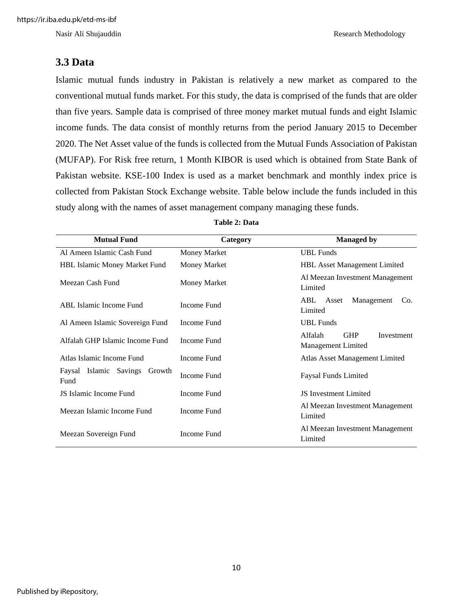Nasir Ali Shujauddin Research Methodology

#### <span id="page-16-0"></span>**3.3 Data**

Islamic mutual funds industry in Pakistan is relatively a new market as compared to the conventional mutual funds market. For this study, the data is comprised of the funds that are older than five years. Sample data is comprised of three money market mutual funds and eight Islamic income funds. The data consist of monthly returns from the period January 2015 to December 2020. The Net Asset value of the funds is collected from the Mutual Funds Association of Pakistan (MUFAP). For Risk free return, 1 Month KIBOR is used which is obtained from State Bank of Pakistan website. KSE-100 Index is used as a market benchmark and monthly index price is collected from Pakistan Stock Exchange website. Table below include the funds included in this study along with the names of asset management company managing these funds.

<span id="page-16-1"></span>

| <b>Mutual Fund</b>                       | <b>Managed by</b><br>Category |                                                           |  |  |
|------------------------------------------|-------------------------------|-----------------------------------------------------------|--|--|
| Al Ameen Islamic Cash Fund               | <b>Money Market</b>           | <b>UBL</b> Funds                                          |  |  |
| <b>HBL Islamic Money Market Fund</b>     | Money Market                  | <b>HBL Asset Management Limited</b>                       |  |  |
| Meezan Cash Fund                         | Money Market                  | Al Meezan Investment Management<br>Limited                |  |  |
| <b>ABL Islamic Income Fund</b>           | Income Fund                   | Management<br>ABL<br>Asset<br>Co.<br>Limited              |  |  |
| Al Ameen Islamic Sovereign Fund          | Income Fund                   | <b>UBL</b> Funds                                          |  |  |
| Alfalah GHP Islamic Income Fund          | Income Fund                   | Alfalah<br><b>GHP</b><br>Investment<br>Management Limited |  |  |
| Atlas Islamic Income Fund                | Income Fund                   | <b>Atlas Asset Management Limited</b>                     |  |  |
| Faysal Islamic Savings<br>Growth<br>Fund | Income Fund                   | <b>Faysal Funds Limited</b>                               |  |  |
| JS Islamic Income Fund                   | Income Fund                   | <b>JS</b> Investment Limited                              |  |  |
| Meezan Islamic Income Fund               | Income Fund                   | Al Meezan Investment Management<br>Limited                |  |  |
| Meezan Sovereign Fund                    | Income Fund                   | Al Meezan Investment Management<br>Limited                |  |  |

#### **Table 2: Data**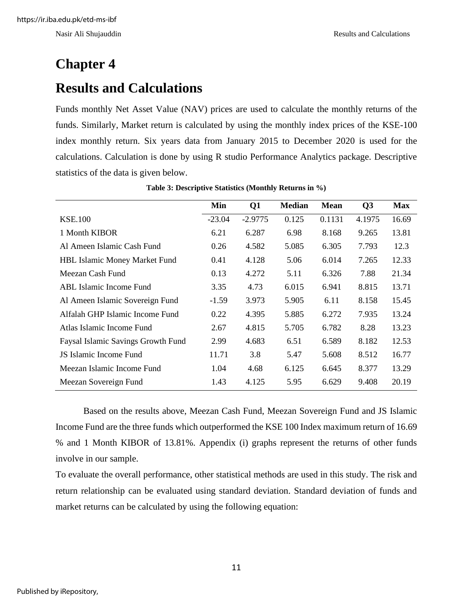# <span id="page-17-1"></span><span id="page-17-0"></span>**Chapter 4 Results and Calculations**

Funds monthly Net Asset Value (NAV) prices are used to calculate the monthly returns of the funds. Similarly, Market return is calculated by using the monthly index prices of the KSE-100 index monthly return. Six years data from January 2015 to December 2020 is used for the calculations. Calculation is done by using R studio Performance Analytics package. Descriptive statistics of the data is given below.

<span id="page-17-2"></span>

|                                      | Min      | Q <sub>1</sub> | <b>Median</b> | <b>Mean</b> | Q3     | <b>Max</b> |
|--------------------------------------|----------|----------------|---------------|-------------|--------|------------|
| <b>KSE.100</b>                       | $-23.04$ | $-2.9775$      | 0.125         | 0.1131      | 4.1975 | 16.69      |
| 1 Month KIBOR                        | 6.21     | 6.287          | 6.98          | 8.168       | 9.265  | 13.81      |
| Al Ameen Islamic Cash Fund           | 0.26     | 4.582          | 5.085         | 6.305       | 7.793  | 12.3       |
| <b>HBL Islamic Money Market Fund</b> | 0.41     | 4.128          | 5.06          | 6.014       | 7.265  | 12.33      |
| Meezan Cash Fund                     | 0.13     | 4.272          | 5.11          | 6.326       | 7.88   | 21.34      |
| <b>ABL</b> Islamic Income Fund       | 3.35     | 4.73           | 6.015         | 6.941       | 8.815  | 13.71      |
| Al Ameen Islamic Sovereign Fund      | $-1.59$  | 3.973          | 5.905         | 6.11        | 8.158  | 15.45      |
| Alfalah GHP Islamic Income Fund      | 0.22     | 4.395          | 5.885         | 6.272       | 7.935  | 13.24      |
| Atlas Islamic Income Fund            | 2.67     | 4.815          | 5.705         | 6.782       | 8.28   | 13.23      |
| Faysal Islamic Savings Growth Fund   | 2.99     | 4.683          | 6.51          | 6.589       | 8.182  | 12.53      |
| JS Islamic Income Fund               | 11.71    | 3.8            | 5.47          | 5.608       | 8.512  | 16.77      |
| Meezan Islamic Income Fund           | 1.04     | 4.68           | 6.125         | 6.645       | 8.377  | 13.29      |
| Meezan Sovereign Fund                | 1.43     | 4.125          | 5.95          | 6.629       | 9.408  | 20.19      |

**Table 3: Descriptive Statistics (Monthly Returns in %)**

Based on the results above, Meezan Cash Fund, Meezan Sovereign Fund and JS Islamic Income Fund are the three funds which outperformed the KSE 100 Index maximum return of 16.69 % and 1 Month KIBOR of 13.81%. Appendix (i) graphs represent the returns of other funds involve in our sample.

To evaluate the overall performance, other statistical methods are used in this study. The risk and return relationship can be evaluated using standard deviation. Standard deviation of funds and market returns can be calculated by using the following equation: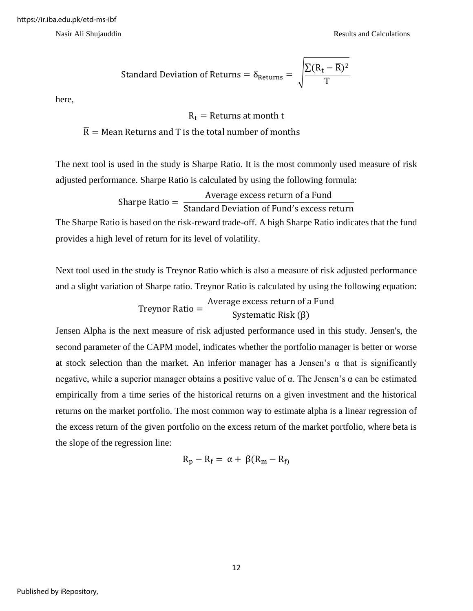Standard Deviation of Returns = 
$$
\delta_{\text{Returns}} = \sqrt{\frac{\sum (R_t - \overline{R})^2}{T}}
$$

here,

$$
R_t
$$
 = Returns at month t

 $\overline{R}$  = Mean Returns and T is the total number of months

The next tool is used in the study is Sharpe Ratio. It is the most commonly used measure of risk adjusted performance. Sharpe Ratio is calculated by using the following formula:

Sharpe Ratio = 
$$
\frac{\text{Average excess return of a Fund}}{\text{Standard Deviation of Fund's excess return}}
$$

The Sharpe Ratio is based on the risk-reward trade-off. A high Sharpe Ratio indicates that the fund provides a high level of return for its level of volatility.

Next tool used in the study is Treynor Ratio which is also a measure of risk adjusted performance and a slight variation of Sharpe ratio. Treynor Ratio is calculated by using the following equation:

> Treynor Ratio = Average excess return of a Fund Systematic Risk (β)

Jensen Alpha is the next measure of risk adjusted performance used in this study. Jensen's, the second parameter of the CAPM model, indicates whether the portfolio manager is better or worse at stock selection than the market. An inferior manager has a Jensen's  $\alpha$  that is significantly negative, while a superior manager obtains a positive value of  $α$ . The Jensen's  $α$  can be estimated empirically from a time series of the historical returns on a given investment and the historical returns on the market portfolio. The most common way to estimate alpha is a linear regression of the excess return of the given portfolio on the excess return of the market portfolio, where beta is the slope of the regression line:

$$
R_p - R_f = \alpha + \beta (R_m - R_f)
$$

Published by iRepository,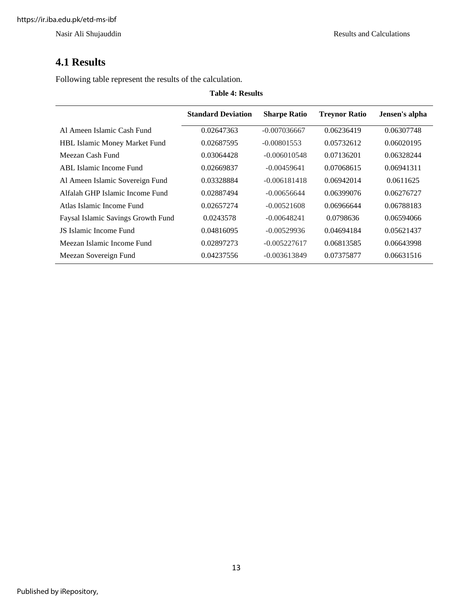### <span id="page-19-0"></span>**4.1 Results**

Following table represent the results of the calculation.

<span id="page-19-1"></span>

| <b>Table 4: Results</b>              |                           |                     |                      |                |  |  |  |
|--------------------------------------|---------------------------|---------------------|----------------------|----------------|--|--|--|
|                                      | <b>Standard Deviation</b> | <b>Sharpe Ratio</b> | <b>Treynor Ratio</b> | Jensen's alpha |  |  |  |
| Al Ameen Islamic Cash Fund           | 0.02647363                | $-0.007036667$      | 0.06236419           | 0.06307748     |  |  |  |
| <b>HBL Islamic Money Market Fund</b> | 0.02687595                | $-0.00801553$       | 0.05732612           | 0.06020195     |  |  |  |
| Meezan Cash Fund                     | 0.03064428                | $-0.006010548$      | 0.07136201           | 0.06328244     |  |  |  |
| ABL Islamic Income Fund              | 0.02669837                | $-0.00459641$       | 0.07068615           | 0.06941311     |  |  |  |
| Al Ameen Islamic Sovereign Fund      | 0.03328884                | $-0.006181418$      | 0.06942014           | 0.0611625      |  |  |  |
| Alfalah GHP Islamic Income Fund      | 0.02887494                | $-0.00656644$       | 0.06399076           | 0.06276727     |  |  |  |
| Atlas Islamic Income Fund            | 0.02657274                | $-0.00521608$       | 0.06966644           | 0.06788183     |  |  |  |
| Faysal Islamic Savings Growth Fund   | 0.0243578                 | $-0.00648241$       | 0.0798636            | 0.06594066     |  |  |  |
| JS Islamic Income Fund               | 0.04816095                | $-0.00529936$       | 0.04694184           | 0.05621437     |  |  |  |
| Meezan Islamic Income Fund           | 0.02897273                | $-0.005227617$      | 0.06813585           | 0.06643998     |  |  |  |
| Meezan Sovereign Fund                | 0.04237556                | $-0.003613849$      | 0.07375877           | 0.06631516     |  |  |  |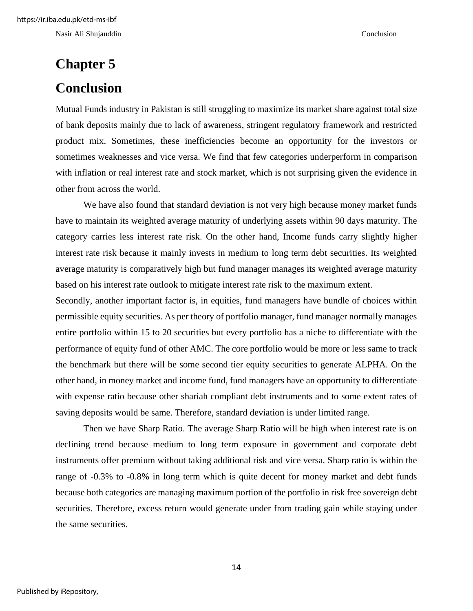Nasir Ali Shujauddin Conclusion

# <span id="page-20-1"></span><span id="page-20-0"></span>**Chapter 5 Conclusion**

Mutual Funds industry in Pakistan is still struggling to maximize its market share against total size of bank deposits mainly due to lack of awareness, stringent regulatory framework and restricted product mix. Sometimes, these inefficiencies become an opportunity for the investors or sometimes weaknesses and vice versa. We find that few categories underperform in comparison with inflation or real interest rate and stock market, which is not surprising given the evidence in other from across the world.

We have also found that standard deviation is not very high because money market funds have to maintain its weighted average maturity of underlying assets within 90 days maturity. The category carries less interest rate risk. On the other hand, Income funds carry slightly higher interest rate risk because it mainly invests in medium to long term debt securities. Its weighted average maturity is comparatively high but fund manager manages its weighted average maturity based on his interest rate outlook to mitigate interest rate risk to the maximum extent.

Secondly, another important factor is, in equities, fund managers have bundle of choices within permissible equity securities. As per theory of portfolio manager, fund manager normally manages entire portfolio within 15 to 20 securities but every portfolio has a niche to differentiate with the performance of equity fund of other AMC. The core portfolio would be more or less same to track the benchmark but there will be some second tier equity securities to generate ALPHA. On the other hand, in money market and income fund, fund managers have an opportunity to differentiate with expense ratio because other shariah compliant debt instruments and to some extent rates of saving deposits would be same. Therefore, standard deviation is under limited range.

Then we have Sharp Ratio. The average Sharp Ratio will be high when interest rate is on declining trend because medium to long term exposure in government and corporate debt instruments offer premium without taking additional risk and vice versa. Sharp ratio is within the range of -0.3% to -0.8% in long term which is quite decent for money market and debt funds because both categories are managing maximum portion of the portfolio in risk free sovereign debt securities. Therefore, excess return would generate under from trading gain while staying under the same securities.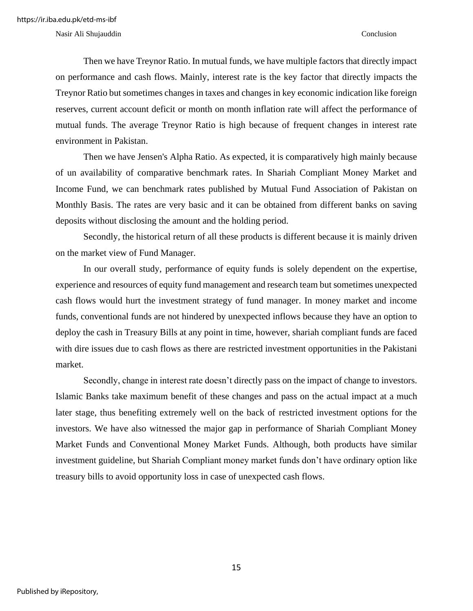Nasir Ali Shujauddin Conclusion

Then we have Treynor Ratio. In mutual funds, we have multiple factors that directly impact on performance and cash flows. Mainly, interest rate is the key factor that directly impacts the Treynor Ratio but sometimes changes in taxes and changes in key economic indication like foreign reserves, current account deficit or month on month inflation rate will affect the performance of mutual funds. The average Treynor Ratio is high because of frequent changes in interest rate environment in Pakistan.

Then we have Jensen's Alpha Ratio. As expected, it is comparatively high mainly because of un availability of comparative benchmark rates. In Shariah Compliant Money Market and Income Fund, we can benchmark rates published by Mutual Fund Association of Pakistan on Monthly Basis. The rates are very basic and it can be obtained from different banks on saving deposits without disclosing the amount and the holding period.

Secondly, the historical return of all these products is different because it is mainly driven on the market view of Fund Manager.

In our overall study, performance of equity funds is solely dependent on the expertise, experience and resources of equity fund management and research team but sometimes unexpected cash flows would hurt the investment strategy of fund manager. In money market and income funds, conventional funds are not hindered by unexpected inflows because they have an option to deploy the cash in Treasury Bills at any point in time, however, shariah compliant funds are faced with dire issues due to cash flows as there are restricted investment opportunities in the Pakistani market.

Secondly, change in interest rate doesn't directly pass on the impact of change to investors. Islamic Banks take maximum benefit of these changes and pass on the actual impact at a much later stage, thus benefiting extremely well on the back of restricted investment options for the investors. We have also witnessed the major gap in performance of Shariah Compliant Money Market Funds and Conventional Money Market Funds. Although, both products have similar investment guideline, but Shariah Compliant money market funds don't have ordinary option like treasury bills to avoid opportunity loss in case of unexpected cash flows.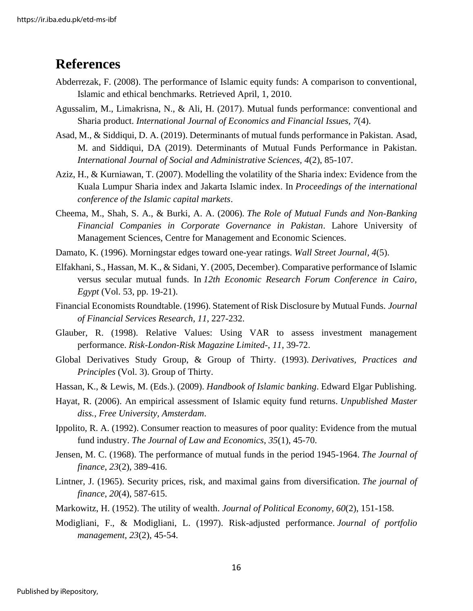### <span id="page-22-0"></span>**References**

- Abderrezak, F. (2008). The performance of Islamic equity funds: A comparison to conventional, Islamic and ethical benchmarks. Retrieved April, 1, 2010.
- Agussalim, M., Limakrisna, N., & Ali, H. (2017). Mutual funds performance: conventional and Sharia product. *International Journal of Economics and Financial Issues, 7*(4).
- Asad, M., & Siddiqui, D. A. (2019). Determinants of mutual funds performance in Pakistan. Asad, M. and Siddiqui, DA (2019). Determinants of Mutual Funds Performance in Pakistan. *International Journal of Social and Administrative Sciences, 4*(2), 85-107.
- Aziz, H., & Kurniawan, T. (2007). Modelling the volatility of the Sharia index: Evidence from the Kuala Lumpur Sharia index and Jakarta Islamic index. In *Proceedings of the international conference of the Islamic capital markets*.
- Cheema, M., Shah, S. A., & Burki, A. A. (2006). *The Role of Mutual Funds and Non-Banking Financial Companies in Corporate Governance in Pakistan*. Lahore University of Management Sciences, Centre for Management and Economic Sciences.
- Damato, K. (1996). Morningstar edges toward one-year ratings. *Wall Street Journal, 4*(5).
- Elfakhani, S., Hassan, M. K., & Sidani, Y. (2005, December). Comparative performance of Islamic versus secular mutual funds. In *12th Economic Research Forum Conference in Cairo, Egypt* (Vol. 53, pp. 19-21).
- Financial Economists Roundtable. (1996). Statement of Risk Disclosure by Mutual Funds. *Journal of Financial Services Research*, *11*, 227-232.
- Glauber, R. (1998). Relative Values: Using VAR to assess investment management performance. *Risk-London-Risk Magazine Limited-*, *11*, 39-72.
- Global Derivatives Study Group, & Group of Thirty. (1993). *Derivatives, Practices and Principles* (Vol. 3). Group of Thirty.
- Hassan, K., & Lewis, M. (Eds.). (2009). *Handbook of Islamic banking*. Edward Elgar Publishing.
- Hayat, R. (2006). An empirical assessment of Islamic equity fund returns. *Unpublished Master diss., Free University, Amsterdam*.
- Ippolito, R. A. (1992). Consumer reaction to measures of poor quality: Evidence from the mutual fund industry. *The Journal of Law and Economics*, *35*(1), 45-70.
- Jensen, M. C. (1968). The performance of mutual funds in the period 1945-1964. *The Journal of finance*, *23*(2), 389-416.
- Lintner, J. (1965). Security prices, risk, and maximal gains from diversification. *The journal of finance*, *20*(4), 587-615.
- Markowitz, H. (1952). The utility of wealth. *Journal of Political Economy*, *60*(2), 151-158.
- Modigliani, F., & Modigliani, L. (1997). Risk-adjusted performance. *Journal of portfolio management*, *23*(2), 45-54.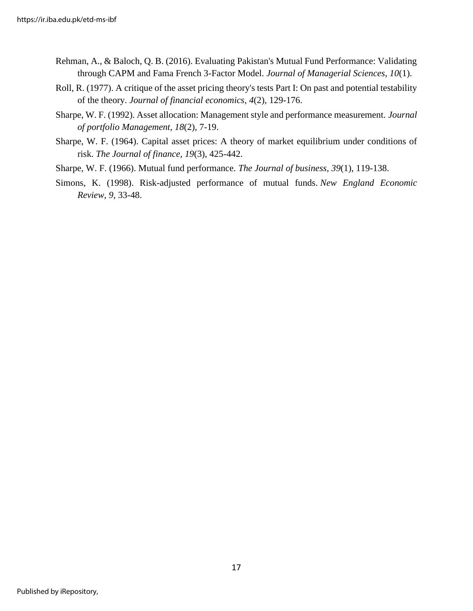- Rehman, A., & Baloch, Q. B. (2016). Evaluating Pakistan's Mutual Fund Performance: Validating through CAPM and Fama French 3-Factor Model. *Journal of Managerial Sciences*, *10*(1).
- Roll, R. (1977). A critique of the asset pricing theory's tests Part I: On past and potential testability of the theory. *Journal of financial economics*, *4*(2), 129-176.
- Sharpe, W. F. (1992). Asset allocation: Management style and performance measurement. *Journal of portfolio Management*, *18*(2), 7-19.
- Sharpe, W. F. (1964). Capital asset prices: A theory of market equilibrium under conditions of risk. *The Journal of finance*, *19*(3), 425-442.
- Sharpe, W. F. (1966). Mutual fund performance. *The Journal of business*, *39*(1), 119-138.
- Simons, K. (1998). Risk-adjusted performance of mutual funds. *New England Economic Review*, *9*, 33-48.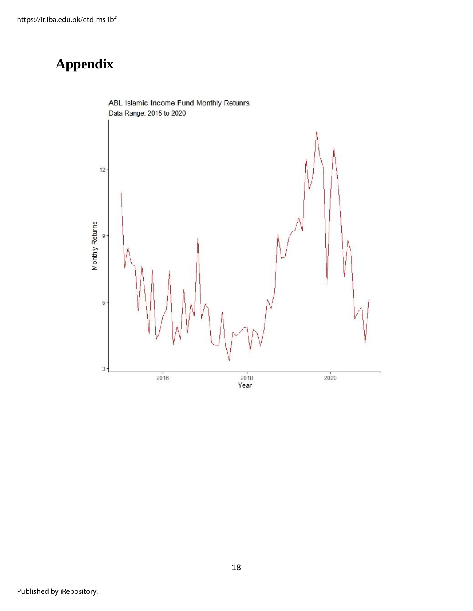# <span id="page-24-0"></span>**Appendix**

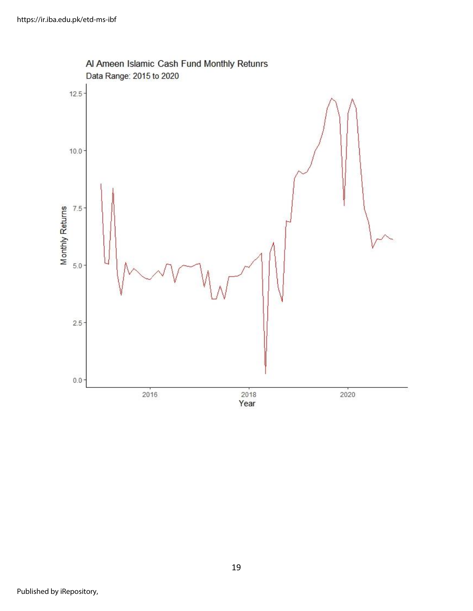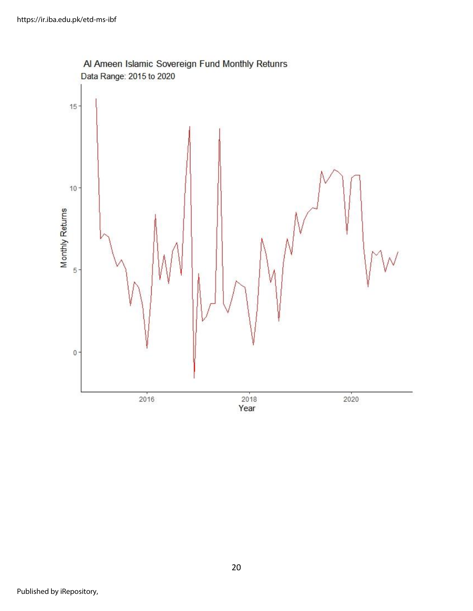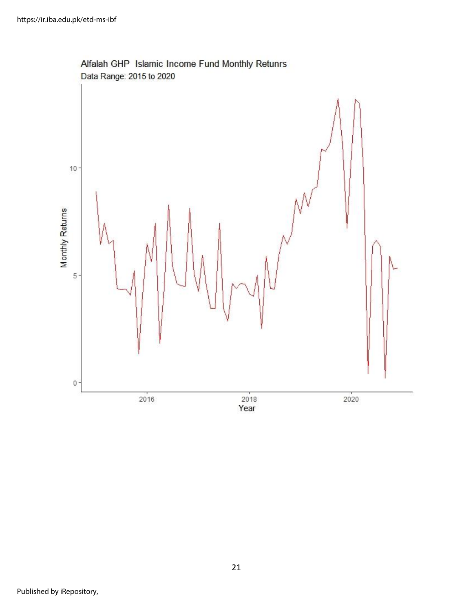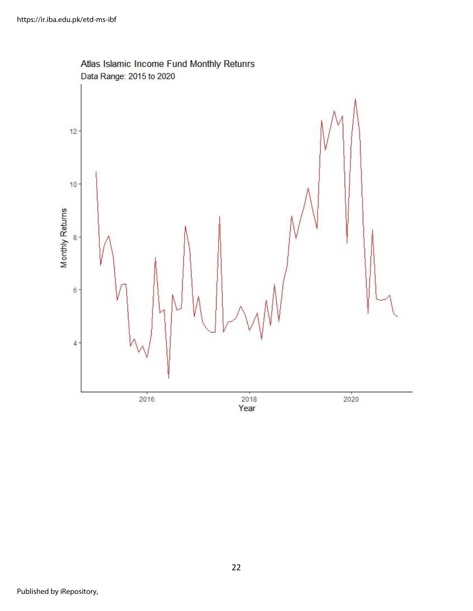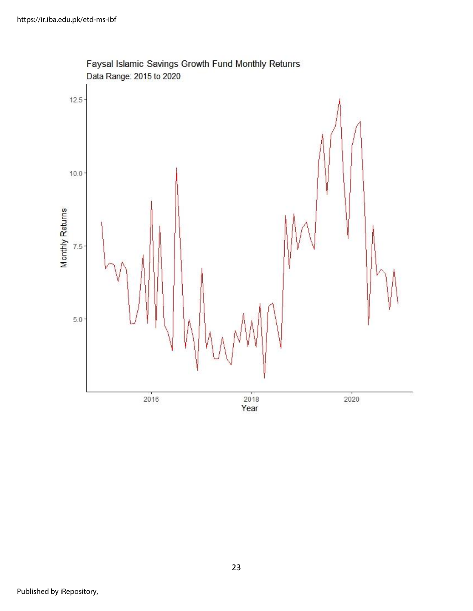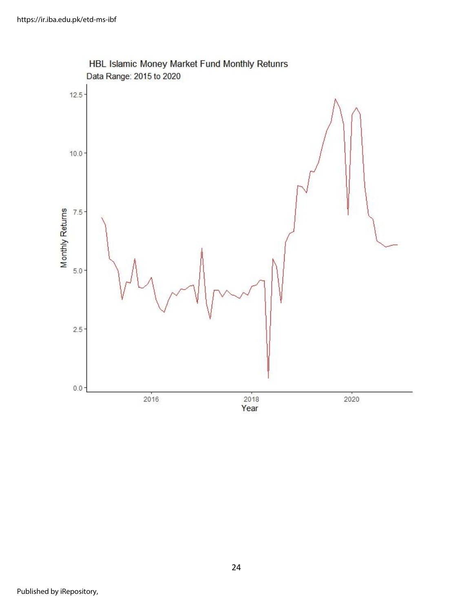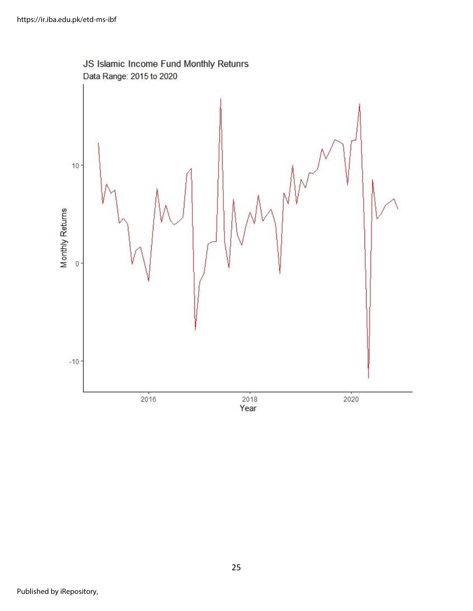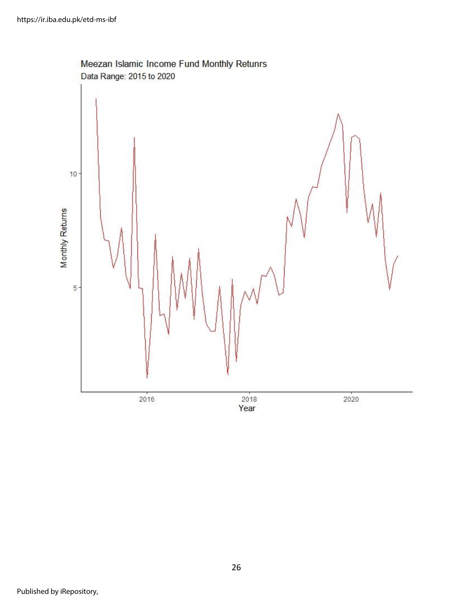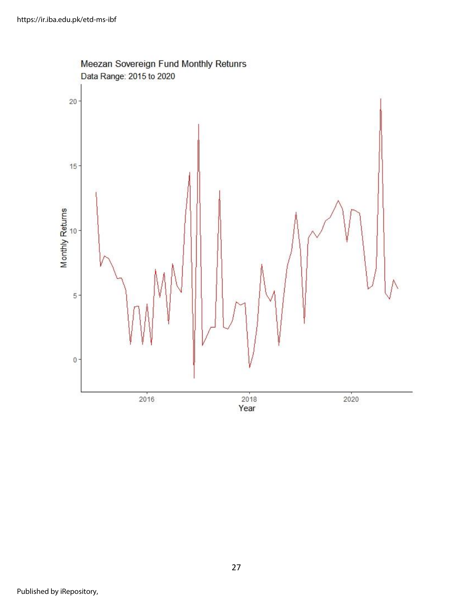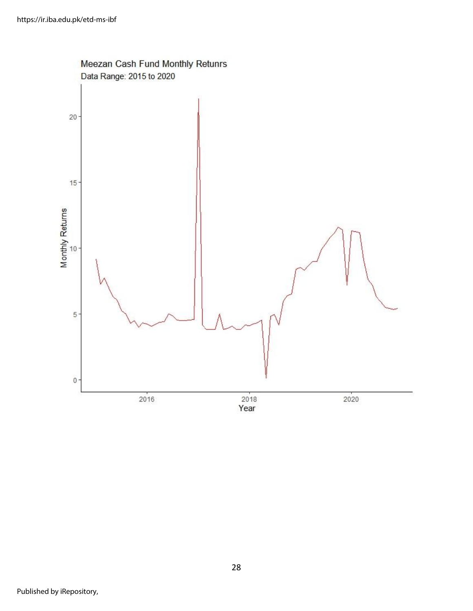